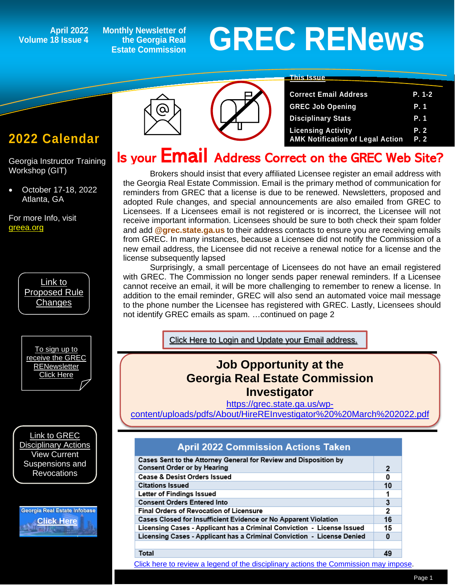## **Volume 18 Issue 4**

**Monthly Newsletter of the Georgia Real Estate Commission**

# April 2022 Monthly Newsletter of<br>18 Issue 4 Estate Commission **GREC RENEWS**

#### **This Issue**

|  | OUTCUL EMAN AGUIUSS             |
|--|---------------------------------|
|  | <b>GREC Job Opening</b>         |
|  | <b>Disciplinary Stats</b>       |
|  | <b>Licensing Activity</b>       |
|  | <b>AMK Notification of Lega</b> |

| <b>Correct Email Address</b>            | P. 1-2 |
|-----------------------------------------|--------|
| <b>GREC Job Opening</b>                 | P. 1   |
| <b>Disciplinary Stats</b>               | P. 1   |
| <b>Licensing Activity</b>               | P. 2   |
| <b>AMK Notification of Legal Action</b> | P. 2   |

## Is your Email Address Correct on the GREC Web Site?

Brokers should insist that every affiliated Licensee register an email address with the Georgia Real Estate Commission. Email is the primary method of communication for reminders from GREC that a license is due to be renewed. Newsletters, proposed and adopted Rule changes, and special announcements are also emailed from GREC to Licensees. If a Licensees email is not registered or is incorrect, the Licensee will not receive important information. Licensees should be sure to both check their spam folder and add **@grec.state.ga.us** to their address contacts to ensure you are receiving emails from GREC. In many instances, because a Licensee did not notify the Commission of a new email address, the Licensee did not receive a renewal notice for a license and the license subsequently lapsed

Surprisingly, a small percentage of Licensees do not have an email registered with GREC. The Commission no longer sends paper renewal reminders. If a Licensee cannot receive an email, it will be more challenging to remember to renew a license. In addition to the email reminder, GREC will also send an automated voice mail message to the phone number the Licensee has registered with GREC. Lastly, Licensees should not identify GREC emails as spam. …continued on page 2

Click Here to Login and [Update your Email address.](https://ata.grec.state.ga.us/?msclkid=26c43e41bcf711ec937491d909b2d766) 

### **Job Opportunity at the Georgia Real Estate Commission Investigator**

[https://grec.state.ga.us/wp](https://grec.state.ga.us/wp-content/uploads/pdfs/About/HireREInvestigator%20%20March%202022.pdf)[content/uploads/pdfs/About/HireREInvestigator%20%20March%202022.pdf](https://grec.state.ga.us/wp-content/uploads/pdfs/About/HireREInvestigator%20%20March%202022.pdf)

#### **April 2022 Commission Actions Taken**

| Cases Sent to the Attorney General for Review and Disposition by<br><b>Consent Order or by Hearing</b> | 2              |
|--------------------------------------------------------------------------------------------------------|----------------|
| Cease & Desist Orders Issued                                                                           | 0              |
| <b>Citations Issued</b>                                                                                | 10             |
| Letter of Findings Issued                                                                              |                |
| <b>Consent Orders Entered Into</b>                                                                     | 3              |
| <b>Final Orders of Revocation of Licensure</b>                                                         | $\overline{2}$ |
| Cases Closed for Insufficient Evidence or No Apparent Violation                                        | 16             |
| Licensing Cases - Applicant has a Criminal Conviction - License Issued                                 | 15             |
| Licensing Cases - Applicant has a Criminal Conviction - License Denied                                 | 0              |
|                                                                                                        |                |
| Total                                                                                                  | 49             |

#### Total

[Click here to review a legend of the disciplinary actions the Commission may impose.](https://www.jmre.com/grec/GRECDisciplinaryTools.pdf)

## **2022 Calendar**

*1*

Georgia Instructor Training Workshop (GIT)

• October 17-18, 2022 Atlanta, GA

For more Info, visit [greea.org](http://www.annualschoolmeeting.com/grecgit/welcome/)



[To sign up to](https://grec.state.ga.us/newsletters/)  [receive the GREC](https://grec.state.ga.us/newsletters/)  **RENewsletter** [Click Here](https://grec.state.ga.us/newsletters/)

[Link to GREC](https://grec.state.ga.us/information-research/disciplinary-actions/real-estate/)  [Disciplinary Actions](https://grec.state.ga.us/information-research/disciplinary-actions/real-estate/) View Current Suspensions and **Revocations** 

Georgia Real Estate Infobase **[Click Here](https://www.grec.state.ga.us/infobase/infobase.html)**